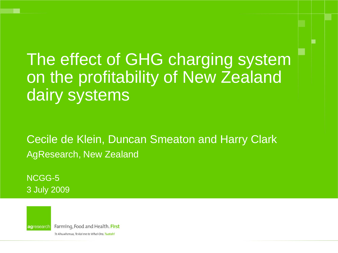The effect of GHG charging system on the profitability of New Zealand dairy systems

Cecile de Klein, Duncan Smeaton and Harry Clark AgResearch, New Zealand

NCGG-5 3 July 2009



Farming, Food and Health. First

Te Ahuwhenua, Te Kai me te Whai Ora. Tuatahi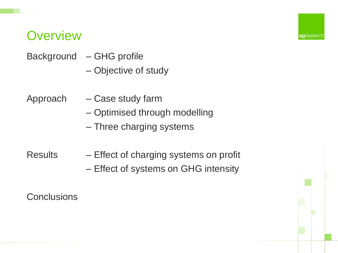#### **Overview**

- Background GHG profile
	- Objective of study

Approach – Case study farm

– Optimised through modelling

agreseard

– Three charging systems

Results – Effect of charging systems on profit – Effect of systems on GHG intensity

**Conclusions**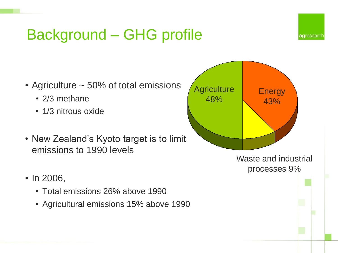# Background – GHG profile



- Agriculture ~ 50% of total emissions
	- 2/3 methane
	- 1/3 nitrous oxide
- New Zealand's Kyoto target is to limit emissions to 1990 levels



- Total emissions 26% above 1990
- Agricultural emissions 15% above 1990

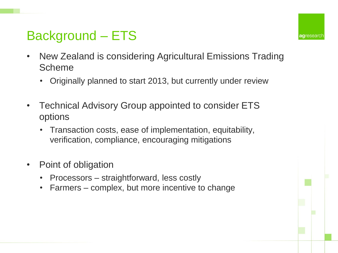## Background – ETS

- New Zealand is considering Agricultural Emissions Trading Scheme
	- Originally planned to start 2013, but currently under review
- Technical Advisory Group appointed to consider ETS options
	- Transaction costs, ease of implementation, equitability, verification, compliance, encouraging mitigations
- Point of obligation
	- Processors straightforward, less costly
	- Farmers complex, but more incentive to change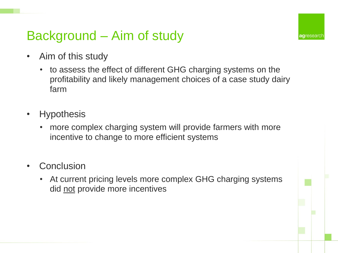#### Background – Aim of study

**ag**researd

- Aim of this study
	- to assess the effect of different GHG charging systems on the profitability and likely management choices of a case study dairy farm
- **Hypothesis** 
	- more complex charging system will provide farmers with more incentive to change to more efficient systems
- **Conclusion** 
	- At current pricing levels more complex GHG charging systems did not provide more incentives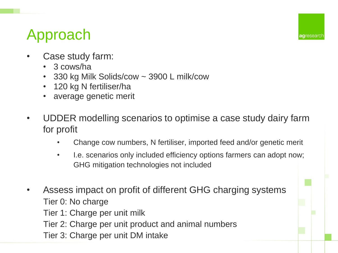# Approach

- Case study farm:
	- 3 cows/ha
	- 330 kg Milk Solids/cow ~ 3900 L milk/cow
	- 120 kg N fertiliser/ha
	- average genetic merit
- UDDER modelling scenarios to optimise a case study dairy farm for profit
	- Change cow numbers, N fertiliser, imported feed and/or genetic merit
	- I.e. scenarios only included efficiency options farmers can adopt now; GHG mitigation technologies not included
- Assess impact on profit of different GHG charging systems Tier 0: No charge Tier 1: Charge per unit milk Tier 2: Charge per unit product and animal numbers Tier 3: Charge per unit DM intake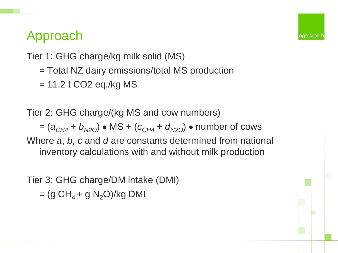## Approach

Tier 1: GHG charge/kg milk solid (MS)

= Total NZ dairy emissions/total MS production

agresear

 $= 11.2$  t CO2 eq./kg MS

Tier 2: GHG charge/(kg MS and cow numbers)  $= (a_{CH4} + b_{N2O}) \cdot \text{MS} + (c_{CH4} + d_{N2O}) \cdot \text{number of cows}$ Where *a*, *b*, *c* and *d* are constants determined from national

inventory calculations with and without milk production

Tier 3: GHG charge/DM intake (DMI)  $=(g CH<sub>4</sub> + g N<sub>2</sub>O)/kg DMI$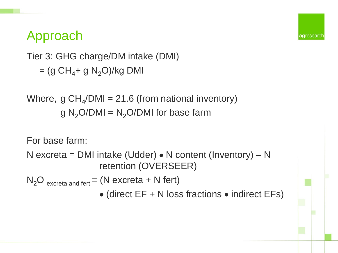## Approach

Tier 3: GHG charge/DM intake (DMI)  $=(g CH<sub>4</sub>+ g N<sub>2</sub>O)/kg DMI$ 

Where,  $g CH_{4}/DMI = 21.6$  (from national inventory)  $g N<sub>2</sub>O/DMI = N<sub>2</sub>O/DMI$  for base farm

For base farm:

N excreta = DMI intake (Udder)  $\bullet$  N content (Inventory) – N retention (OVERSEER)

 $N_2O$  excreta and fert = (N excreta + N fert)

 $\bullet$  (direct EF + N loss fractions  $\bullet$  indirect EFs)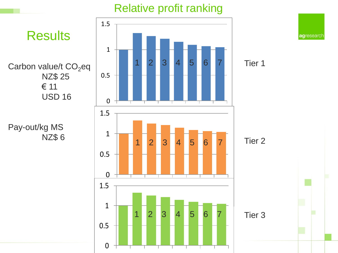#### Relative profit ranking

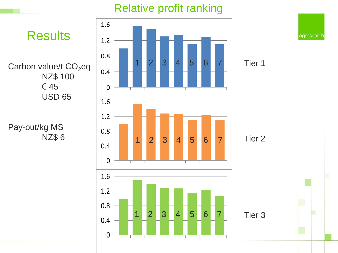#### Relative profit ranking



agresearch

Tier 1

Tier 2

Tier 3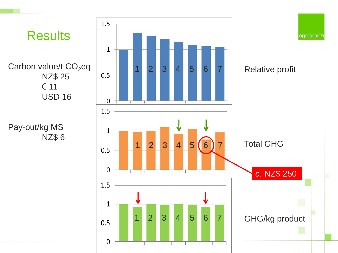